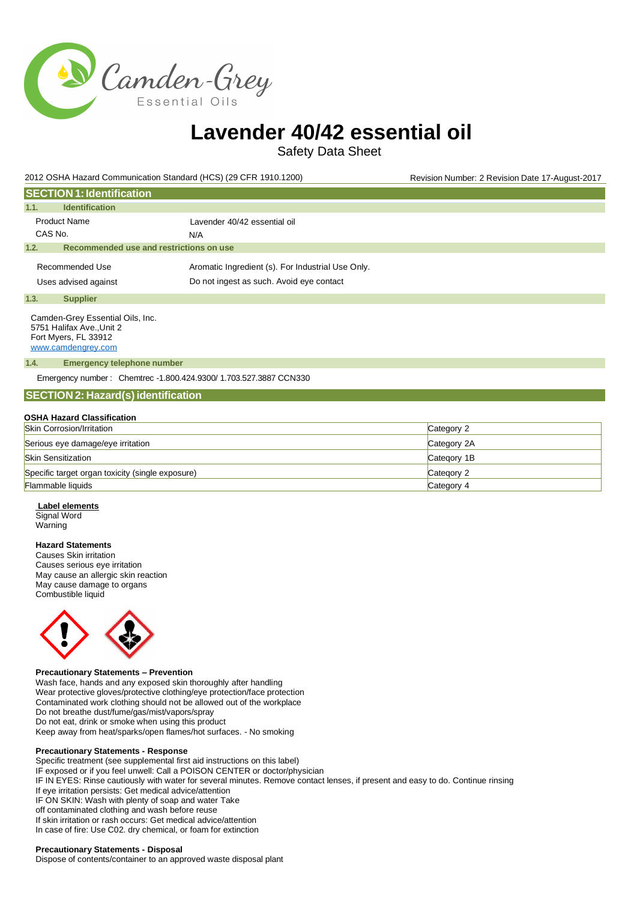

Safety Data Sheet

2012 OSHA Hazard Communication Standard (HCS) (29 CFR 1910.1200) Revision Number: 2 Revision Date 17-August-2017

| <b>SECTION 1: Identification</b>                                                                            |                                                   |
|-------------------------------------------------------------------------------------------------------------|---------------------------------------------------|
| <b>Identification</b><br>1.1.                                                                               |                                                   |
| <b>Product Name</b>                                                                                         | Lavender 40/42 essential oil                      |
| CAS No.                                                                                                     | N/A                                               |
| Recommended use and restrictions on use<br>1.2.                                                             |                                                   |
| Recommended Use                                                                                             | Aromatic Ingredient (s). For Industrial Use Only. |
| Uses advised against                                                                                        | Do not ingest as such. Avoid eye contact          |
| 1.3.<br><b>Supplier</b>                                                                                     |                                                   |
| Camden-Grey Essential Oils, Inc.<br>5751 Halifax Ave., Unit 2<br>Fort Myers, FL 33912<br>www.camdengrey.com |                                                   |
| <b>Emergency telephone number</b><br>1.4.                                                                   |                                                   |
| Emergency number: Chemtrec -1.800.424.9300/ 1.703.527.3887 CCN330                                           |                                                   |
| <b>SECTION 2: Hazard(s) identification</b>                                                                  |                                                   |
|                                                                                                             |                                                   |

#### **OSHA Hazard Classification**

| <b>Skin Corrosion/Irritation</b>                 | Category 2  |
|--------------------------------------------------|-------------|
| Serious eye damage/eye irritation                | Category 2A |
| <b>Skin Sensitization</b>                        | Category 1B |
| Specific target organ toxicity (single exposure) | Category 2  |
| <b>Flammable liquids</b>                         | Category 4  |

#### **Label elements**

Signal Word Warning

#### **Hazard Statements**

Causes Skin irritation Causes serious eye irritation May cause an allergic skin reaction May cause damage to organs Combustible liquid



#### **Precautionary Statements – Prevention**

Wash face, hands and any exposed skin thoroughly after handling Wear protective gloves/protective clothing/eye protection/face protection Contaminated work clothing should not be allowed out of the workplace Do not breathe dust/fume/gas/mist/vapors/spray Do not eat, drink or smoke when using this product Keep away from heat/sparks/open flames/hot surfaces. - No smoking

#### **Precautionary Statements - Response**

Specific treatment (see supplemental first aid instructions on this label) IF exposed or if you feel unwell: Call a POISON CENTER or doctor/physician IF IN EYES: Rinse cautiously with water for several minutes. Remove contact lenses, if present and easy to do. Continue rinsing If eye irritation persists: Get medical advice/attention IF ON SKIN: Wash with plenty of soap and water Take off contaminated clothing and wash before reuse If skin irritation or rash occurs: Get medical advice/attention In case of fire: Use C02. dry chemical, or foam for extinction

#### **Precautionary Statements - Disposal**

Dispose of contents/container to an approved waste disposal plant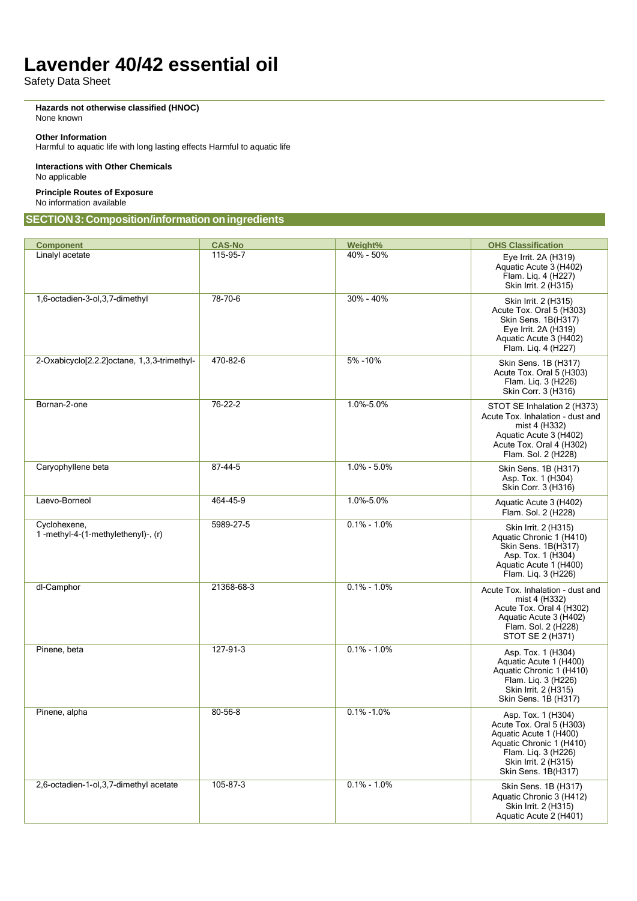Safety Data Sheet

**Hazards not otherwise classified (HNOC)** None known

#### **Other Information**

Harmful to aquatic life with long lasting effects Harmful to aquatic life

**Interactions with Other Chemicals** No applicable

**Principle Routes of Exposure** No information available

## **SECTION3:Composition/information oningredients**

| <b>Component</b>                                   | <b>CAS-No</b> | Weight%         | <b>OHS Classification</b>                                                                                                                                                  |
|----------------------------------------------------|---------------|-----------------|----------------------------------------------------------------------------------------------------------------------------------------------------------------------------|
| Linalyl acetate                                    | 115-95-7      | 40% - 50%       | Eye Irrit. 2A (H319)<br>Aquatic Acute 3 (H402)<br>Flam. Liq. 4 (H227)<br>Skin Irrit. 2 (H315)                                                                              |
| 1,6-octadien-3-ol,3,7-dimethyl                     | 78-70-6       | 30% - 40%       | Skin Irrit. 2 (H315)<br>Acute Tox. Oral 5 (H303)<br>Skin Sens. 1B(H317)<br>Eye Irrit. 2A (H319)<br>Aquatic Acute 3 (H402)<br>Flam. Lig. 4 (H227)                           |
| 2-Oxabicyclo[2.2.2]octane, 1,3,3-trimethyl-        | 470-82-6      | 5% - 10%        | Skin Sens. 1B (H317)<br>Acute Tox. Oral 5 (H303)<br>Flam. Liq. 3 (H226)<br>Skin Corr. 3 (H316)                                                                             |
| Bornan-2-one                                       | $76 - 22 - 2$ | 1.0%-5.0%       | STOT SE Inhalation 2 (H373)<br>Acute Tox. Inhalation - dust and<br>mist 4 (H332)<br>Aquatic Acute 3 (H402)<br>Acute Tox. Oral 4 (H302)<br>Flam. Sol. 2 (H228)              |
| Caryophyllene beta                                 | 87-44-5       | $1.0\% - 5.0\%$ | Skin Sens. 1B (H317)<br>Asp. Tox. 1 (H304)<br>Skin Corr. 3 (H316)                                                                                                          |
| Laevo-Borneol                                      | 464-45-9      | 1.0%-5.0%       | Aquatic Acute 3 (H402)<br>Flam. Sol. 2 (H228)                                                                                                                              |
| Cyclohexene,<br>1-methyl-4-(1-methylethenyl)-, (r) | 5989-27-5     | $0.1\% - 1.0\%$ | Skin Irrit. 2 (H315)<br>Aquatic Chronic 1 (H410)<br>Skin Sens. 1B(H317)<br>Asp. Tox. 1 (H304)<br>Aquatic Acute 1 (H400)<br>Flam. Lig. 3 (H226)                             |
| dl-Camphor                                         | 21368-68-3    | $0.1\% - 1.0\%$ | Acute Tox. Inhalation - dust and<br>mist 4 (H332)<br>Acute Tox. Oral 4 (H302)<br>Aquatic Acute 3 (H402)<br>Flam. Sol. 2 (H228)<br>STOT SE 2 (H371)                         |
| Pinene, beta                                       | 127-91-3      | $0.1\% - 1.0\%$ | Asp. Tox. 1 (H304)<br>Aquatic Acute 1 (H400)<br>Aquatic Chronic 1 (H410)<br>Flam. Liq. 3 (H226)<br>Skin Irrit. 2 (H315)<br>Skin Sens. 1B (H317)                            |
| Pinene, alpha                                      | 80-56-8       | $0.1\% - 1.0\%$ | Asp. Tox. 1 (H304)<br>Acute Tox. Oral 5 (H303)<br>Aquatic Acute 1 (H400)<br>Aquatic Chronic 1 (H410)<br>Flam. Liq. 3 (H226)<br>Skin Irrit. 2 (H315)<br>Skin Sens. 1B(H317) |
| 2,6-octadien-1-ol,3,7-dimethyl acetate             | 105-87-3      | $0.1\% - 1.0\%$ | Skin Sens. 1B (H317)<br>Aquatic Chronic 3 (H412)<br>Skin Irrit. 2 (H315)<br>Aquatic Acute 2 (H401)                                                                         |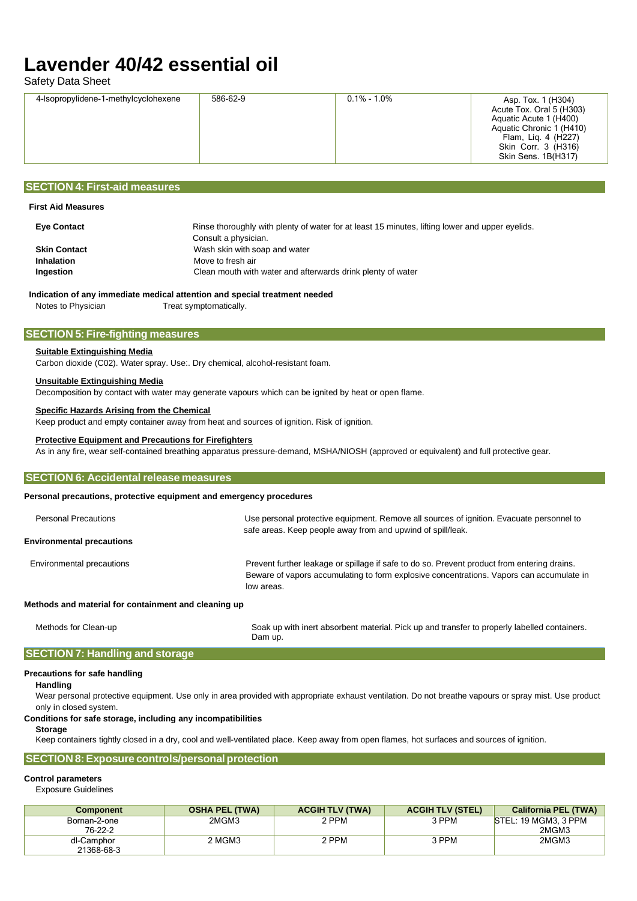Safety Data Sheet

| 586-62-9<br>4-Isopropylidene-1-methylcyclohexene | $0.1\% - 1.0\%$ | Asp. Tox. 1 (H304)<br>Acute Tox. Oral 5 (H303)<br>Aquatic Acute 1 (H400)<br>Aquatic Chronic 1 (H410)<br>Flam, Lig. 4 (H227)<br>Skin Corr. 3 (H316)<br>Skin Sens. 1B(H317) |
|--------------------------------------------------|-----------------|---------------------------------------------------------------------------------------------------------------------------------------------------------------------------|
|--------------------------------------------------|-----------------|---------------------------------------------------------------------------------------------------------------------------------------------------------------------------|

## **SECTION 4: First-aid measures**

## **First Aid Measures**

| <b>Eye Contact</b>  | Rinse thoroughly with plenty of water for at least 15 minutes, lifting lower and upper eyelids.<br>Consult a physician. |
|---------------------|-------------------------------------------------------------------------------------------------------------------------|
| <b>Skin Contact</b> | Wash skin with soap and water                                                                                           |
| <b>Inhalation</b>   | Move to fresh air                                                                                                       |
| Ingestion           | Clean mouth with water and afterwards drink plenty of water                                                             |
|                     |                                                                                                                         |

## **Indication of any immediate medical attention and special treatment needed**

Notes to Physician Treat symptomatically.

## **SECTION 5: Fire-fighting measures**

## **Suitable Extinguishing Media**

Carbon dioxide (C02). Water spray. Use:. Dry chemical, alcohol-resistant foam.

## **Unsuitable Extinguishing Media**

Decomposition by contact with water may generate vapours which can be ignited by heat or open flame.

## **Specific Hazards Arising from the Chemical**

Keep product and empty container away from heat and sources of ignition. Risk of ignition.

## **Protective Equipment and Precautions for Firefighters**

As in any fire, wear self-contained breathing apparatus pressure-demand, MSHA/NIOSH (approved or equivalent) and full protective gear.

## **Personal precautions, protective equipment and emergency procedures** Personal Precautions Theorem Use personal protective equipment. Remove all sources of ignition. Evacuate personnel to safe areas. Keep people away from and upwind of spill/leak. **SECTION 6: Accidental release measures**

#### **Environmental precautions**

Environmental precautions extending the prevent further leakage or spillage if safe to do so. Prevent product from entering drains. Beware of vapors accumulating to form explosive concentrations. Vapors can accumulate in low areas.

## **Methods and material for containment and cleaning up**

Methods for Clean-up Soak up with inert absorbent material. Pick up and transfer to properly labelled containers. Dam up.

## **SECTION 7: Handling and storage**

## **Precautions for safe handling**

**Handling**

Wear personal protective equipment. Use only in area provided with appropriate exhaust ventilation. Do not breathe vapours or spray mist. Use product only in closed system.

## **Conditions for safe storage, including any incompatibilities**

**Storage**

Keep containers tightly closed in a dry, cool and well-ventilated place. Keep away from open flames, hot surfaces and sources of ignition.

## **SECTION 8:Exposure controls/personal protection**

## **Control parameters**

Exposure Guidelines

| <b>Component</b>         | <b>OSHA PEL (TWA)</b> | <b>ACGIH TLV (TWA)</b> | <b>ACGIH TLV (STEL)</b> | <b>California PEL (TWA)</b>   |
|--------------------------|-----------------------|------------------------|-------------------------|-------------------------------|
| Bornan-2-one<br>76-22-2  | 2MGM3                 | 2 PPM                  | 3 PPM                   | STEL: 19 MGM3. 3 PPM<br>2MGM3 |
| dl-Camphor<br>21368-68-3 | 2 MGM3                | ? PPM                  | 3 PPM                   | 2MGM3                         |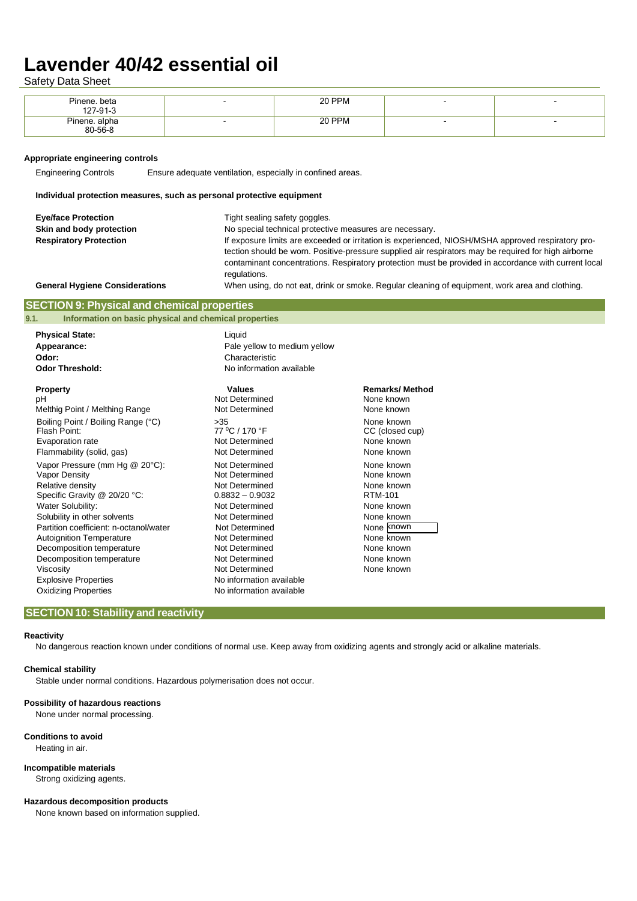Safety Data Sheet

| Pinene. beta<br>127-91-3 | 20 PPM |                          |  |
|--------------------------|--------|--------------------------|--|
| Pinene. alpha<br>80-56-8 | 20 PPM | $\overline{\phantom{0}}$ |  |

#### **Appropriate engineering controls**

Engineering Controls Ensure adequate ventilation, especially in confined areas.

#### **Individual protection measures, such as personal protective equipment**

| <b>Eve/face Protection</b>            | Tight sealing safety goggles.                                                                                                                                                                                                                                                                                                      |
|---------------------------------------|------------------------------------------------------------------------------------------------------------------------------------------------------------------------------------------------------------------------------------------------------------------------------------------------------------------------------------|
| Skin and body protection              | No special technical protective measures are necessary.                                                                                                                                                                                                                                                                            |
| <b>Respiratory Protection</b>         | If exposure limits are exceeded or irritation is experienced, NIOSH/MSHA approved respiratory pro-<br>tection should be worn. Positive-pressure supplied air respirators may be required for high airborne<br>contaminant concentrations. Respiratory protection must be provided in accordance with current local<br>regulations. |
| <b>General Hygiene Considerations</b> | When using, do not eat, drink or smoke. Regular cleaning of equipment, work area and clothing.                                                                                                                                                                                                                                     |

## **SECTION 9: Physical and chemical properties**

**9.1. Information on basic physical and chemical properties**

| <b>Physical State:</b><br>Appearance:<br>Odor:<br><b>Odor Threshold:</b>                                                                                             | Liquid<br>Pale yellow to medium yellow<br>Characteristic<br>No information available                                         |                                                      |
|----------------------------------------------------------------------------------------------------------------------------------------------------------------------|------------------------------------------------------------------------------------------------------------------------------|------------------------------------------------------|
| <b>Property</b>                                                                                                                                                      | <b>Values</b>                                                                                                                | <b>Remarks/Method</b>                                |
| pH                                                                                                                                                                   | Not Determined                                                                                                               | None known                                           |
| Melthig Point / Melthing Range                                                                                                                                       | Not Determined                                                                                                               | None known                                           |
| Boiling Point / Boiling Range (°C)                                                                                                                                   | >35                                                                                                                          | None known                                           |
| Flash Point:                                                                                                                                                         | 77 °C / 170 °F                                                                                                               | CC (closed cup)                                      |
| Evaporation rate                                                                                                                                                     | Not Determined                                                                                                               | None known                                           |
| Flammability (solid, gas)                                                                                                                                            | Not Determined                                                                                                               | None known                                           |
| Vapor Pressure (mm Hg @ 20°C):                                                                                                                                       | Not Determined                                                                                                               | None known                                           |
| Vapor Density                                                                                                                                                        | Not Determined                                                                                                               | None known                                           |
| Relative density                                                                                                                                                     | Not Determined                                                                                                               | None known                                           |
| Specific Gravity @ 20/20 °C:                                                                                                                                         | $0.8832 - 0.9032$                                                                                                            | RTM-101                                              |
| Water Solubility:                                                                                                                                                    | Not Determined                                                                                                               | None known                                           |
| Solubility in other solvents                                                                                                                                         | Not Determined                                                                                                               | None known                                           |
| Partition coefficient: n-octanol/water                                                                                                                               | Not Determined                                                                                                               | None known                                           |
| <b>Autoignition Temperature</b><br>Decomposition temperature<br>Decomposition temperature<br>Viscosity<br><b>Explosive Properties</b><br><b>Oxidizing Properties</b> | Not Determined<br>Not Determined<br>Not Determined<br>Not Determined<br>No information available<br>No information available | None known<br>None known<br>None known<br>None known |

## **SECTION 10: Stability and reactivity**

#### **Reactivity**

No dangerous reaction known under conditions of normal use. Keep away from oxidizing agents and strongly acid or alkaline materials.

#### **Chemical stability**

Stable under normal conditions. Hazardous polymerisation does not occur.

#### **Possibility of hazardous reactions**

None under normal processing.

#### **Conditions to avoid** Heating in air.

#### **Incompatible materials**

Strong oxidizing agents.

#### **Hazardous decomposition products**

None known based on information supplied.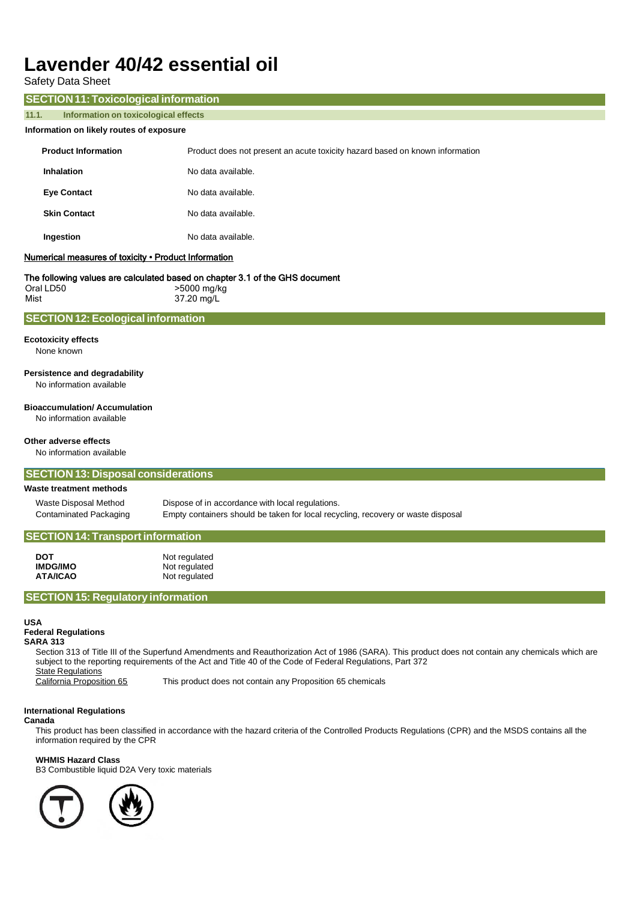| <b>Safety Data Sheet</b>                                                                                                                                 |                                                                                                                                                                                                                                                                                                                                |
|----------------------------------------------------------------------------------------------------------------------------------------------------------|--------------------------------------------------------------------------------------------------------------------------------------------------------------------------------------------------------------------------------------------------------------------------------------------------------------------------------|
| <b>SECTION 11: Toxicological information</b>                                                                                                             |                                                                                                                                                                                                                                                                                                                                |
| 11.1.<br>Information on toxicological effects                                                                                                            |                                                                                                                                                                                                                                                                                                                                |
| Information on likely routes of exposure                                                                                                                 |                                                                                                                                                                                                                                                                                                                                |
| <b>Product Information</b>                                                                                                                               | Product does not present an acute toxicity hazard based on known information                                                                                                                                                                                                                                                   |
| <b>Inhalation</b>                                                                                                                                        | No data available.                                                                                                                                                                                                                                                                                                             |
| <b>Eye Contact</b>                                                                                                                                       | No data available.                                                                                                                                                                                                                                                                                                             |
| <b>Skin Contact</b>                                                                                                                                      | No data available.                                                                                                                                                                                                                                                                                                             |
| Ingestion                                                                                                                                                | No data available.                                                                                                                                                                                                                                                                                                             |
| Numerical measures of toxicity . Product Information                                                                                                     |                                                                                                                                                                                                                                                                                                                                |
| Oral LD50<br>Mist                                                                                                                                        | The following values are calculated based on chapter 3.1 of the GHS document<br>>5000 mg/kg<br>37.20 mg/L                                                                                                                                                                                                                      |
| <b>SECTION 12: Ecological information</b>                                                                                                                |                                                                                                                                                                                                                                                                                                                                |
| <b>Ecotoxicity effects</b><br>None known                                                                                                                 |                                                                                                                                                                                                                                                                                                                                |
| Persistence and degradability<br>No information available                                                                                                |                                                                                                                                                                                                                                                                                                                                |
| <b>Bioaccumulation/Accumulation</b><br>No information available                                                                                          |                                                                                                                                                                                                                                                                                                                                |
| Other adverse effects<br>No information available                                                                                                        |                                                                                                                                                                                                                                                                                                                                |
| <b>SECTION 13: Disposal considerations</b>                                                                                                               |                                                                                                                                                                                                                                                                                                                                |
| Waste treatment methods                                                                                                                                  |                                                                                                                                                                                                                                                                                                                                |
| <b>Waste Disposal Method</b><br>Contaminated Packaging                                                                                                   | Dispose of in accordance with local regulations.<br>Empty containers should be taken for local recycling, recovery or waste disposal                                                                                                                                                                                           |
| <b>SECTION 14: Transport information</b>                                                                                                                 |                                                                                                                                                                                                                                                                                                                                |
| <b>DOT</b><br><b>IMDG/IMO</b><br><b>ATA/ICAO</b>                                                                                                         | Not regulated<br>Not regulated<br>Not regulated                                                                                                                                                                                                                                                                                |
| <b>SECTION 15: Regulatory information</b>                                                                                                                |                                                                                                                                                                                                                                                                                                                                |
| <b>USA</b><br><b>Federal Regulations</b><br><b>SARA 313</b><br><b>State Regulations</b><br>California Proposition 65<br><b>International Requlations</b> | Section 313 of Title III of the Superfund Amendments and Reauthorization Act of 1986 (SARA). This product does not contain any chemicals which are<br>subject to the reporting requirements of the Act and Title 40 of the Code of Federal Regulations, Part 372<br>This product does not contain any Proposition 65 chemicals |

## **Canada**

This product has been classified in accordance with the hazard criteria of the Controlled Products Regulations (CPR) and the MSDS contains all the information required by the CPR

## **WHMIS Hazard Class**

B3 Combustible liquid D2A Very toxic materials